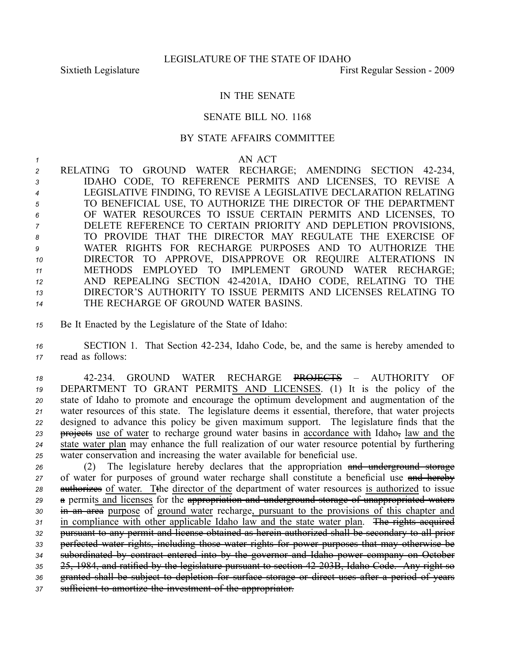## IN THE SENATE

## SENATE BILL NO. 1168

## BY STATE AFFAIRS COMMITTEE

## *1* AN ACT

2 RELATING TO GROUND WATER RECHARGE; AMENDING SECTION 42-234, IDAHO CODE, TO REFERENCE PERMITS AND LICENSES, TO REVISE A LEGISLATIVE FINDING, TO REVISE A LEGISLATIVE DECLARATION RELATING TO BENEFICIAL USE, TO AUTHORIZE THE DIRECTOR OF THE DEPARTMENT OF WATER RESOURCES TO ISSUE CERTAIN PERMITS AND LICENSES, TO DELETE REFERENCE TO CERTAIN PRIORITY AND DEPLETION PROVISIONS, TO PROVIDE THAT THE DIRECTOR MAY REGULATE THE EXERCISE OF WATER RIGHTS FOR RECHARGE PURPOSES AND TO AUTHORIZE THE DIRECTOR TO APPROVE, DISAPPROVE OR REQUIRE ALTERATIONS IN METHODS EMPLOYED TO IMPLEMENT GROUND WATER RECHARGE; AND REPEALING SECTION 424201A, IDAHO CODE, RELATING TO THE DIRECTOR'S AUTHORITY TO ISSUE PERMITS AND LICENSES RELATING TO THE RECHARGE OF GROUND WATER BASINS.

*<sup>15</sup>* Be It Enacted by the Legislature of the State of Idaho:

*<sup>16</sup>* SECTION 1. That Section 42234, Idaho Code, be, and the same is hereby amended to *<sup>17</sup>* read as follows:

 42234. GROUND WATER RECHARGE PROJECTS – AUTHORITY OF DEPARTMENT TO GRANT PERMITS AND LICENSES. (1) It is the policy of the state of Idaho to promote and encourage the optimum development and augmentation of the water resources of this state. The legislature deems it essential, therefore, that water projects designed to advance this policy be given maximum support. The legislature finds that the **projects** use of water to recharge ground water basins in accordance with Idaho, law and the state water plan may enhance the full realization of our water resource potential by furthering water conservation and increasing the water available for beneficial use.

 (2) The legislature hereby declares that the appropriation and underground storage 27 of water for purposes of ground water recharge shall constitute a beneficial use and hereby 28 authorizes of water. Tthe director of the department of water resources is authorized to issue <sup>a</sup> permits and licenses for the appropriation and underground storage of unappropriated waters in an area purpose of ground water recharge, pursuan<sup>t</sup> to the provisions of this chapter and in compliance with other applicable Idaho law and the state water plan. The rights acquired pursuan<sup>t</sup> to any permit and license obtained as herein authorized shall be secondary to all prior perfected water rights, including those water rights for power purposes that may otherwise be subordinated by contract entered into by the governor and Idaho power company on October 25, 1984, and ratified by the legislature pursuan<sup>t</sup> to section 42203B, Idaho Code. Any right so granted shall be subject to depletion for surface storage or direct uses after <sup>a</sup> period of years sufficient to amortize the investment of the appropriator.